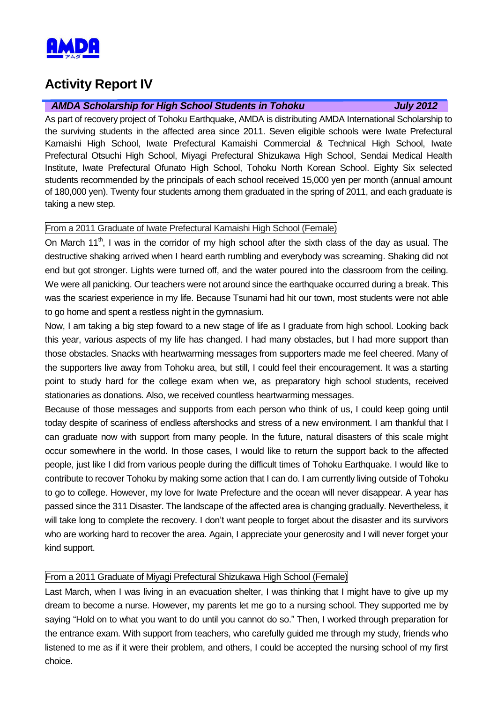

# **Activity Report IV**

### *AMDA Scholarship for High School Students in Tohoku July 2012*

As part of recovery project of Tohoku Earthquake, AMDA is distributing AMDA International Scholarship to the surviving students in the affected area since 2011. Seven eligible schools were Iwate Prefectural Kamaishi High School, Iwate Prefectural Kamaishi Commercial & Technical High School, Iwate Prefectural Otsuchi High School, Miyagi Prefectural Shizukawa High School, Sendai Medical Health Institute, Iwate Prefectural Ofunato High School, Tohoku North Korean School. Eighty Six selected students recommended by the principals of each school received 15,000 yen per month (annual amount of 180,000 yen). Twenty four students among them graduated in the spring of 2011, and each graduate is taking a new step.

# From a 2011 Graduate of Iwate Prefectural Kamaishi High School (Female)

On March  $11<sup>th</sup>$ , I was in the corridor of my high school after the sixth class of the day as usual. The destructive shaking arrived when I heard earth rumbling and everybody was screaming. Shaking did not end but got stronger. Lights were turned off, and the water poured into the classroom from the ceiling. We were all panicking. Our teachers were not around since the earthquake occurred during a break. This was the scariest experience in my life. Because Tsunami had hit our town, most students were not able to go home and spent a restless night in the gymnasium.

Now, I am taking a big step foward to a new stage of life as I graduate from high school. Looking back this year, various aspects of my life has changed. I had many obstacles, but I had more support than those obstacles. Snacks with heartwarming messages from supporters made me feel cheered. Many of the supporters live away from Tohoku area, but still, I could feel their encouragement. It was a starting point to study hard for the college exam when we, as preparatory high school students, received stationaries as donations. Also, we received countless heartwarming messages.

Because of those messages and supports from each person who think of us, I could keep going until today despite of scariness of endless aftershocks and stress of a new environment. I am thankful that I can graduate now with support from many people. In the future, natural disasters of this scale might occur somewhere in the world. In those cases, I would like to return the support back to the affected people, just like I did from various people during the difficult times of Tohoku Earthquake. I would like to contribute to recover Tohoku by making some action that I can do. I am currently living outside of Tohoku to go to college. However, my love for Iwate Prefecture and the ocean will never disappear. A year has passed since the 311 Disaster. The landscape of the affected area is changing gradually. Nevertheless, it will take long to complete the recovery. I don't want people to forget about the disaster and its survivors who are working hard to recover the area. Again, I appreciate your generosity and I will never forget your kind support.

## From a 2011 Graduate of Miyagi Prefectural Shizukawa High School (Female)

Last March, when I was living in an evacuation shelter, I was thinking that I might have to give up my dream to become a nurse. However, my parents let me go to a nursing school. They supported me by saying "Hold on to what you want to do until you cannot do so." Then, I worked through preparation for the entrance exam. With support from teachers, who carefully guided me through my study, friends who listened to me as if it were their problem, and others, I could be accepted the nursing school of my first choice.